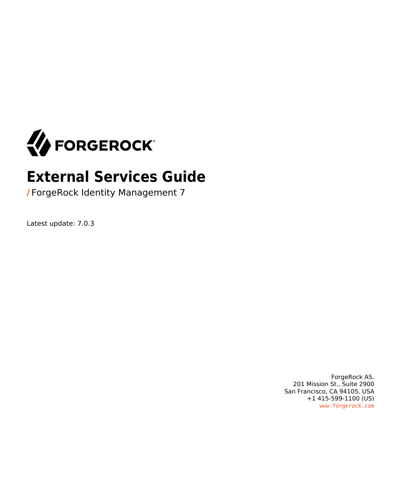

# **External Services Guide**

**/** ForgeRock Identity Management 7

Latest update: 7.0.3

ForgeRock AS. 201 Mission St., Suite 2900 San Francisco, CA 94105, USA +1 415-599-1100 (US) www.forgerock.com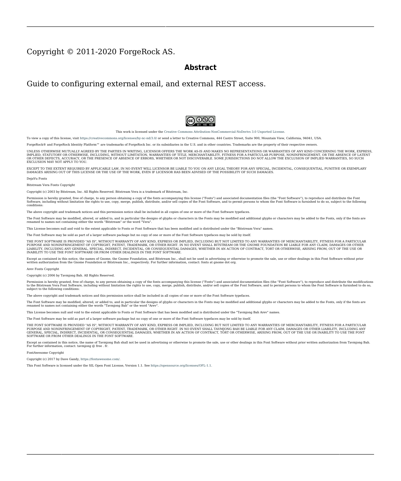#### Copyright © 2011-2020 ForgeRock AS.

#### **Abstract**

Guide to configuring external email, and external REST access.



This work is licensed under the [Creative Commons Attribution-NonCommercial-NoDerivs 3.0 Unported License.](https://creativecommons.org/licenses/by-nc-nd/3.0/)

To view a copy of this license, visit <https://creativecommons.org/licenses/by-nc-nd/3.0/> or send a letter to Creative Commons, 444 Castro Street, Suite 900, Mountain View, California, 94041, USA.

ForgeRock® and ForgeRock Identity Platform™ are trademarks of ForgeRock Inc. or its subsidiaries in the U.S. and in other countries. Trademarks are the property of their respective owners.

UNLESS OTHERWISE MUTUALLY AGREED BY THE PARTIES IN WRITING, LICENSOR OFFERS THE WORK AS-IS AND MAKES NOTHERWISCOR WARRANTIES OF ANY KIND CONCERNING THE WORK, EXPRESS, THE WORK, EXPRESS, THE WORK, EXPRESS, THE WORK, AND MAK IMPLIED, STATUTORY OR OTHERWISE, INCLUDING, WITHOUT LIMITATION, WARRANTIES OF TITLE, MERCHANTABILITY, FITNESS FOR A PARTICULAR PURPOSE, NONINFRINGEMENT, OR THE ABSENCE OF LATENT<br>OR OTHER DEFECTS, ACCURACY, OR THE PRESENCE

EXCEPT TO THE EXTENT REQUIRED BY APPLICABLE LAW, IN NO EVENT WILL LICENSOR BE LIABLE TO YOU ON ANY LEGAL THEORY FOR ANY ISLOCKERT ALLOCATED TO THE STATE ON SERVENTIAL, PONCE OUR DESTANDING OUR EXEMPLARY ON SERVER THAN A ST

DejaVu Fonts

Bitstream Vera Fonts Copyright

Copyright (c) 2003 by Bitstream, Inc. All Rights Reserved. Bitstream Vera is a trademark of Bitstream, Inc.

Permission is hereby granted, free of charge, to any person obtaining a copy of the fonts accompanying this license ("Fonts") and associated documentation files ("hent" Font Software, including without immushed to do so, s conditions:

The above copyright and trademark notices and this permission notice shall be included in all copies of one or more of the Font Software typefaces.

The Font Software may be modified, altered, or added to, and in particular the designs of glyphs or characters in the Fonts may be modified and additional glyphs or characters may be added to the Fonts, only if the fonts a renamed to names not containing either the words "Bitstream" or the word "Vera".

This License becomes null and void to the extent applicable to Fonts or Font Software that has been modified and is distributed under the "Bitstream Vera" names.

The Font Software may be sold as part of a larger software package but no copy of one or more of the Font Software typefaces may be sold by itself.

THE FONT SOFTWARE IS PROVIDED "AS IS", WITHOUT WARRANTY OF ANN KNO. EXPRESS OR IMPLIED, MANUTHED TO ANY WARRANTES OF MERCHANTABILITY, FITNESS FOR A PARTICULARY INCOLLED THE SURFACT AND THE SURFACT AND NOT A THE SURFACT AND

Except as contained in this notice, the names of Gnome, the Gnome Foundation, and Bitstream Inc., shall not be used in advertising or otherwise to promote the sale, use or other dealings in this Font Software without prior

Arev Fonts Copyright

Copyright (c) 2006 by Tavmjong Bah. All Rights Reserved.

Permission is hereby granted, free of charge, to any person obtaining a copy of the fonts accompanying this license ("Fonts") and associated documentation files (the "Font Software"), to reproduce and distribute the modifi to the Bitstream Vera Font Software, including without limitation the rights to use, copy, merge, publish, distribute, and/or sell copies of the Font Software, and to permit persons to whom the Font Software is furnished t subject to the following conditions:

The above copyright and trademark notices and this permission notice shall be included in all copies of one or more of the Font Software typefaces.

The Font Software may be modified, altered, or added to, and in particular the designs of glyphs or characters in the Fonts may be modified and additional glyphs or characters may be added to the Fonts, only if the fonts a

This License becomes null and void to the extent applicable to Fonts or Font Software that has been modified and is distributed under the "Tavmjong Bah Arev" names.

The Font Software may be sold as part of a larger software package but no copy of one or more of the Font Software typefaces may be sold by itself.

THE FONT SOFTWARE IS PROVIDED "AS IS", WITHOUT WARRANTY OF ANY KIND, EXPRESS OR IMPLIED, INCLUDING BUT NOT LIMITED TO ANY WARRANTIES OF MERCHANTABILITY, FITNESS FOR A PARTICULAR PURPOSE AND NONINFRINGEMENT OF COPYRIGHT, TRADEMARK, OR OTHER RIGHT. IN NO EVENT SHAL TAVMJONG BAH BE LIABLE FOR ANY CLAM, DAMAGES OR OTHER LIABILITY, INCLUDING ANY MELL THE THE USE OR INABILITY TO USE THE FONT<br>GENERAL, SP SOFTWARE OR FROM OTHER DEALINGS IN THE FONT SOFTWARE.

Except as contained in this notice, the name of Taymjong Bah shall not be used in advertising or otherwise to promote the sale, use or other dealings in this Font Software without prior written authorization from Taymjong For further information, contact: tavmjong @ free . i

FontAwesome Copyright

Copyright (c) 2017 by Dave Gandy, [https://fontawesome.com/.](https://fontawesome.com/)

This Font Software is licensed under the SIL Open Font License, Version 1.1. See<https://opensource.org/licenses/OFL-1.1>.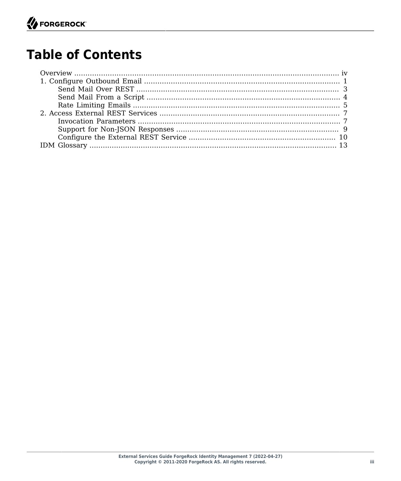# **Table of Contents**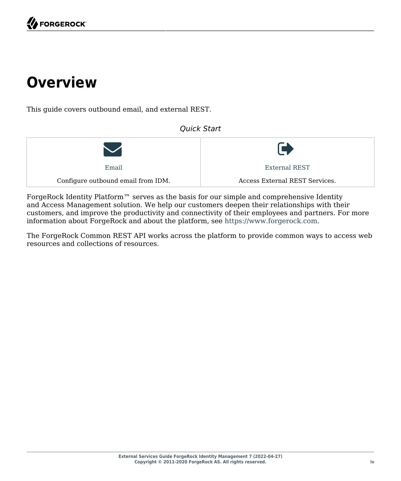# <span id="page-3-0"></span>**Overview**

This guide covers outbound email, and external REST.

 $\bigvee$ [Email](#page-4-0) Configure outbound email from IDM.  $\blacktriangleright$ [External REST](#page-10-0) Access External REST Services.

*Quick Start*

ForgeRock Identity Platform™ serves as the basis for our simple and comprehensive Identity and Access Management solution. We help our customers deepen their relationships with their customers, and improve the productivity and connectivity of their employees and partners. For more information about ForgeRock and about the platform, see <https://www.forgerock.com>.

The ForgeRock Common REST API works across the platform to provide common ways to access web resources and collections of resources.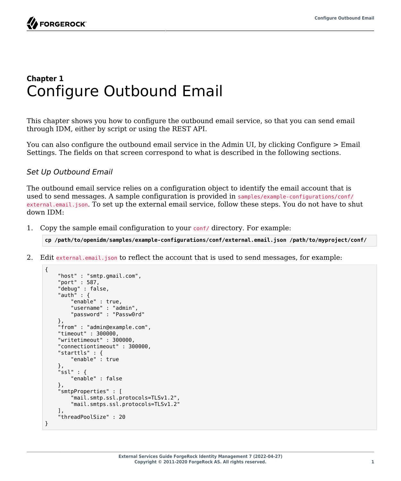# <span id="page-4-0"></span>**Chapter 1** Configure Outbound Email

This chapter shows you how to configure the outbound email service, so that you can send email through IDM, either by script or using the REST API.

You can also configure the outbound email service in the Admin UI, by clicking Configure > Email Settings. The fields on that screen correspond to what is described in the following sections.

#### *Set Up Outbound Email*

The outbound email service relies on a configuration object to identify the email account that is used to send messages. A sample configuration is provided in samples/example-configurations/conf/ external.email.json. To set up the external email service, follow these steps. You do not have to shut down IDM:

1. Copy the sample email configuration to your conf/ directory. For example:

**cp /path/to/openidm/samples/example-configurations/conf/external.email.json /path/to/myproject/conf/**

2. Edit external.email.json to reflect the account that is used to send messages, for example:

```
{
     "host" : "smtp.gmail.com",
     "port" : 587,
     "debug" : false,
     "auth" : {
         "enable" : true,
          "username" : "admin",
          "password" : "Passw0rd"
     },
     "from" : "admin@example.com",
     "timeout" : 300000,
     "writetimeout" : 300000,
     "connectiontimeout" : 300000,
     "starttls" : {
          "enable" : true
     },
     "ssl" : {
         "enable" : false
     },
     "smtpProperties" : [
          "mail.smtp.ssl.protocols=TLSv1.2",
          "mail.smtps.ssl.protocols=TLSv1.2"
     ],
     "threadPoolSize" : 20
}
```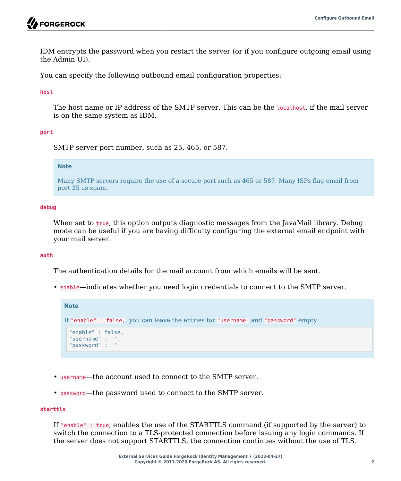IDM encrypts the password when you restart the server (or if you configure outgoing email using the Admin UI).

You can specify the following outbound email configuration properties:

**host**

The host name or IP address of the SMTP server. This can be the localhost, if the mail server is on the same system as IDM.

#### **port**

SMTP server port number, such as 25, 465, or 587.

#### **Note**

Many SMTP servers require the use of a secure port such as 465 or 587. Many ISPs flag email from port 25 as spam.

#### **debug**

When set to true, this option outputs diagnostic messages from the JavaMail library. Debug mode can be useful if you are having difficulty configuring the external email endpoint with your mail server.

#### **auth**

The authentication details for the mail account from which emails will be sent.

• enable—indicates whether you need login credentials to connect to the SMTP server.

```
Note
If "enable" : false,, you can leave the entries for "username" and "password" empty:
 "enable" : false,
 "username" : "",
 "password" : ""
```
- username—the account used to connect to the SMTP server.
- password—the password used to connect to the SMTP server.

#### **starttls**

If "enable" : true, enables the use of the STARTTLS command (if supported by the server) to switch the connection to a TLS-protected connection before issuing any login commands. If the server does not support STARTTLS, the connection continues without the use of TLS.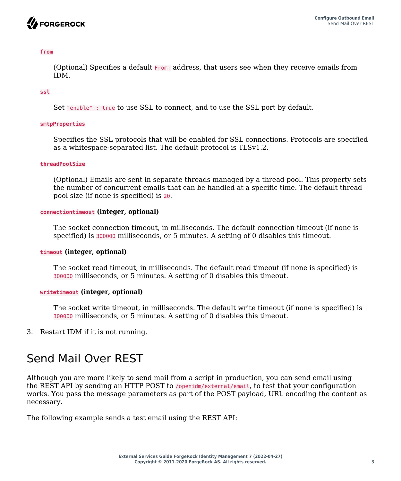#### **from**

(Optional) Specifies a default From: address, that users see when they receive emails from IDM.

#### **ssl**

Set "enable" : true to use SSL to connect, and to use the SSL port by default.

#### **smtpProperties**

Specifies the SSL protocols that will be enabled for SSL connections. Protocols are specified as a whitespace-separated list. The default protocol is TLSv1.2.

#### **threadPoolSize**

(Optional) Emails are sent in separate threads managed by a thread pool. This property sets the number of concurrent emails that can be handled at a specific time. The default thread pool size (if none is specified) is 20.

#### **connectiontimeout (integer, optional)**

The socket connection timeout, in milliseconds. The default connection timeout (if none is specified) is 300000 milliseconds, or 5 minutes. A setting of 0 disables this timeout.

#### **timeout (integer, optional)**

The socket read timeout, in milliseconds. The default read timeout (if none is specified) is 300000 milliseconds, or 5 minutes. A setting of 0 disables this timeout.

#### **writetimeout (integer, optional)**

The socket write timeout, in milliseconds. The default write timeout (if none is specified) is 300000 milliseconds, or 5 minutes. A setting of 0 disables this timeout.

<span id="page-6-0"></span>3. Restart IDM if it is not running.

## Send Mail Over REST

Although you are more likely to send mail from a script in production, you can send email using the REST API by sending an HTTP POST to /openidm/external/email, to test that your configuration works. You pass the message parameters as part of the POST payload, URL encoding the content as necessary.

The following example sends a test email using the REST API: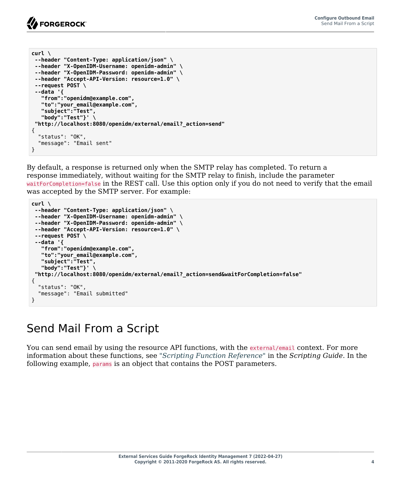

| $curl \setminus$                                            |
|-------------------------------------------------------------|
| --header "Content-Type: application/json" \                 |
| --header "X-OpenIDM-Username: openidm-admin" \              |
| --header "X-OpenIDM-Password: openidm-admin" \              |
| --header "Accept-API-Version: resource=1.0" \               |
| $-$ -request POST \                                         |
| --data '{                                                   |
| "from":"openidm@example.com",                               |
| "to":"your email@example.com",                              |
| "subject":"Test",                                           |
| "body":"Test"}' \                                           |
| "http://localhost:8080/openidm/external/email? action=send" |
| ſ                                                           |
| "status": "OK",                                             |
| "message": "Email sent"                                     |
|                                                             |

By default, a response is returned only when the SMTP relay has completed. To return a response immediately, without waiting for the SMTP relay to finish, include the parameter waitForCompletion=false in the REST call. Use this option only if you do not need to verify that the email was accepted by the SMTP server. For example:

```
curl \
 --header "Content-Type: application/json" \
  --header "X-OpenIDM-Username: openidm-admin" \
  --header "X-OpenIDM-Password: openidm-admin" \
  --header "Accept-API-Version: resource=1.0" \
  --request POST \
  --data '{
    "from":"openidm@example.com",
    "to":"your_email@example.com",
    "subject":"Test",
    "body":"Test"}' \
  "http://localhost:8080/openidm/external/email?_action=send&waitForCompletion=false"
{
   "status": "OK",
   "message": "Email submitted"
}
```
## <span id="page-7-0"></span>Send Mail From a Script

You can send email by using the resource API functions, with the external/email context. For more information about these functions, see "*Scripting Function Reference*" in the *Scripting Guide*. In the following example, params is an object that contains the POST parameters.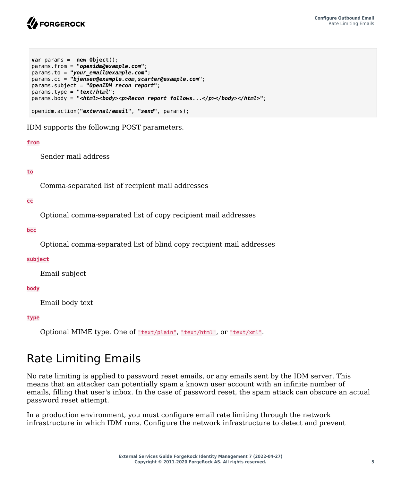

```
var params = new Object();
params.from = "openidm@example.com";
params.to = "your_email@example.com";
params.cc = "bjensen@example.com,scarter@example.com";
params.subject = "OpenIDM recon report";
params.type = "text/html";
params.body = "<html><body><p>Recon report follows...</p></body></html>";
openidm.action("external/email", "send", params);
```
IDM supports the following POST parameters.

#### **from**

Sender mail address

#### **to**

Comma-separated list of recipient mail addresses

#### **cc**

Optional comma-separated list of copy recipient mail addresses

#### **bcc**

Optional comma-separated list of blind copy recipient mail addresses

#### **subject**

Email subject

#### **body**

Email body text

#### **type**

<span id="page-8-0"></span>Optional MIME type. One of "text/plain", "text/html", or "text/xml".

## Rate Limiting Emails

No rate limiting is applied to password reset emails, or any emails sent by the IDM server. This means that an attacker can potentially spam a known user account with an infinite number of emails, filling that user's inbox. In the case of password reset, the spam attack can obscure an actual password reset attempt.

In a production environment, you must configure email rate limiting through the network infrastructure in which IDM runs. Configure the network infrastructure to detect and prevent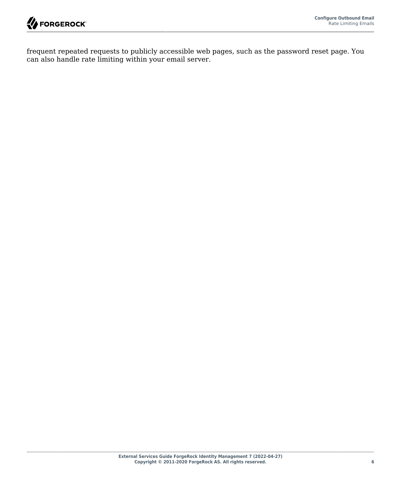

frequent repeated requests to publicly accessible web pages, such as the password reset page. You can also handle rate limiting within your email server.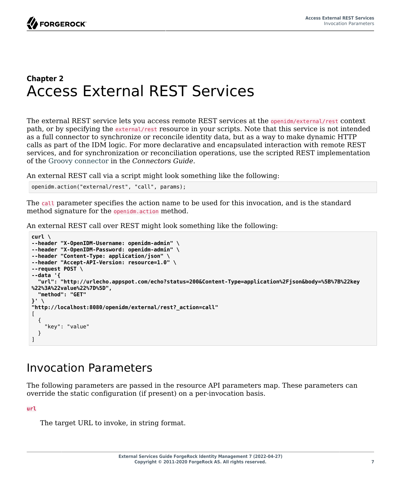## <span id="page-10-0"></span>**Chapter 2** Access External REST Services

The external REST service lets you access remote REST services at the openidm/external/rest context path, or by specifying the external/rest resource in your scripts. Note that this service is not intended as a full connector to synchronize or reconcile identity data, but as a way to make dynamic HTTP calls as part of the IDM logic. For more declarative and encapsulated interaction with remote REST services, and for synchronization or reconciliation operations, use the scripted REST implementation of the Groovy connector in the *Connectors Guide*.

An external REST call via a script might look something like the following:

```
openidm.action("external/rest", "call", params);
```
The call parameter specifies the action name to be used for this invocation, and is the standard method signature for the openidm.action method.

An external REST call over REST might look something like the following:

```
curl \
--header "X-OpenIDM-Username: openidm-admin" \
--header "X-OpenIDM-Password: openidm-admin" \
--header "Content-Type: application/json" \
--header "Accept-API-Version: resource=1.0" \
--request POST \
--data '{
   "url": "http://urlecho.appspot.com/echo?status=200&Content-Type=application%2Fjson&body=%5B%7B%22key
%22%3A%22value%22%7D%5D",
   "method": "GET"
}' \
"http://localhost:8080/openidm/external/rest?_action=call"
\Gamma {
     "key": "value"
   }
]
```
### <span id="page-10-1"></span>Invocation Parameters

The following parameters are passed in the resource API parameters map. These parameters can override the static configuration (if present) on a per-invocation basis.

#### **url**

The target URL to invoke, in string format.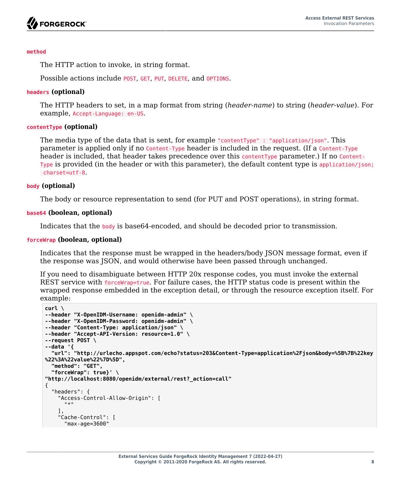

#### **method**

The HTTP action to invoke, in string format.

Possible actions include POST, GET, PUT, DELETE, and OPTIONS.

#### **headers (optional)**

The HTTP headers to set, in a map format from string (*header-name*) to string (*header-value*). For example, Accept-Language: en-US.

#### **contentType (optional)**

The media type of the data that is sent, for example "contentType" : "application/json". This parameter is applied only if no Content-Type header is included in the request. (If a Content-Type header is included, that header takes precedence over this contentType parameter.) If no Content-Type is provided (in the header or with this parameter), the default content type is application/json; charset=utf-8.

#### **body (optional)**

The body or resource representation to send (for PUT and POST operations), in string format.

#### **base64 (boolean, optional)**

Indicates that the body is base64-encoded, and should be decoded prior to transmission.

#### **forceWrap (boolean, optional)**

Indicates that the response must be wrapped in the headers/body JSON message format, even if the response was JSON, and would otherwise have been passed through unchanged.

If you need to disambiguate between HTTP 20x response codes, you must invoke the external REST service with forceWrap=true. For failure cases, the HTTP status code is present within the wrapped response embedded in the exception detail, or through the resource exception itself. For example:

```
curl \
--header "X-OpenIDM-Username: openidm-admin" \
--header "X-OpenIDM-Password: openidm-admin" \
--header "Content-Type: application/json" \
--header "Accept-API-Version: resource=1.0" \
--request POST \
--data '{
   "url": "http://urlecho.appspot.com/echo?status=203&Content-Type=application%2Fjson&body=%5B%7B%22key
%22%3A%22value%22%7D%5D",
   "method": "GET",
   "forceWrap": true}' \
"http://localhost:8080/openidm/external/rest?_action=call"
{
   "headers": {
     "Access-Control-Allow-Origin": [
      " * "
 ],
     "Cache-Control": [
       "max-age=3600"
```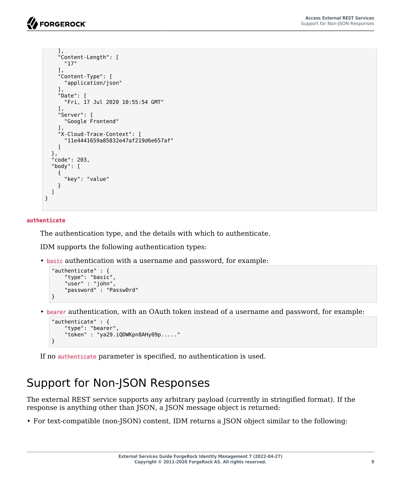```
 ],
     "Content-Length": [
       "17"
     ],
     "Content-Type": [
       "application/json"
     ],
     "Date": [
       "Fri, 17 Jul 2020 10:55:54 GMT"
     ],
     "Server": [
       "Google Frontend"
     ],
     "X-Cloud-Trace-Context": [
       "11e4441659a85832e47af219d6e657af"
     ]
   },
   "code": 203,
   "body": [
     {
       "key": "value"
     }
   ]
}
```
#### **authenticate**

The authentication type, and the details with which to authenticate.

IDM supports the following authentication types:

• basic authentication with a username and password, for example:

```
"authenticate" : {
     "type": "basic",
     "user" : "john",
     "password" : "Passw0rd"
}
```
• bearer authentication, with an OAuth token instead of a username and password, for example:

```
"authenticate" : {
     "type": "bearer",
     "token" : "ya29.iQDWKpn8AHy09p....."
}
```
<span id="page-12-0"></span>If no authenticate parameter is specified, no authentication is used.

# Support for Non-JSON Responses

The external REST service supports any arbitrary payload (currently in stringified format). If the response is anything other than JSON, a JSON message object is returned:

• For text-compatible (non-JSON) content, IDM returns a JSON object similar to the following: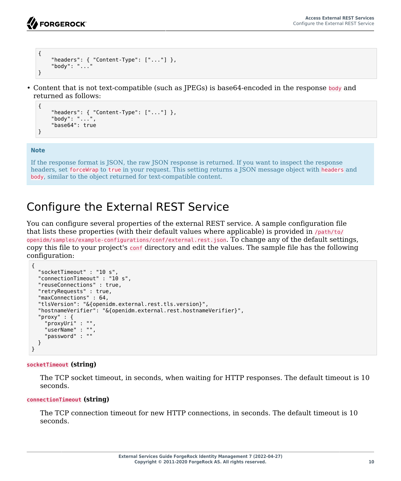```
{
     "headers": { "Content-Type": ["..."] },
     "body": "..."
}
```
• Content that is not text-compatible (such as JPEGs) is base64-encoded in the response body and returned as follows:

```
{
    "headers": \{ "Content-Type": ["..."]},
     "body": "...",
     "base64": true
}
```
#### **Note**

If the response format is JSON, the raw JSON response is returned. If you want to inspect the response headers, set forceWrap to true in your request. This setting returns a JSON message object with headers and body, similar to the object returned for text-compatible content.

# <span id="page-13-0"></span>Configure the External REST Service

You can configure several properties of the external REST service. A sample configuration file that lists these properties (with their default values where applicable) is provided in /path/to/

openidm/samples/example-configurations/conf/external.rest.json. To change any of the default settings, copy this file to your project's conf directory and edit the values. The sample file has the following configuration:

```
{
   "socketTimeout" : "10 s",
   "connectionTimeout" : "10 s",
   "reuseConnections" : true,
   "retryRequests" : true,
   "maxConnections" : 64,
   "tlsVersion": "&{openidm.external.rest.tls.version}",
   "hostnameVerifier": "&{openidm.external.rest.hostnameVerifier}",
   "proxy" : {
     "proxyUri" : "",
     "userName" : "",
     "password" : ""
   }
}
```
#### **socketTimeout (string)**

The TCP socket timeout, in seconds, when waiting for HTTP responses. The default timeout is 10 seconds.

#### **connectionTimeout (string)**

The TCP connection timeout for new HTTP connections, in seconds. The default timeout is 10 seconds.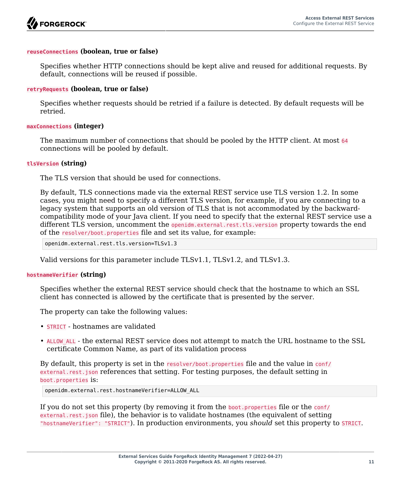#### **reuseConnections (boolean, true or false)**

Specifies whether HTTP connections should be kept alive and reused for additional requests. By default, connections will be reused if possible.

#### **retryRequests (boolean, true or false)**

Specifies whether requests should be retried if a failure is detected. By default requests will be retried.

#### **maxConnections (integer)**

The maximum number of connections that should be pooled by the HTTP client. At most 64 connections will be pooled by default.

#### **tlsVersion (string)**

The TLS version that should be used for connections.

By default, TLS connections made via the external REST service use TLS version 1.2. In some cases, you might need to specify a different TLS version, for example, if you are connecting to a legacy system that supports an old version of TLS that is not accommodated by the backwardcompatibility mode of your Java client. If you need to specify that the external REST service use a different TLS version, uncomment the openidm.external.rest.tls.version property towards the end of the resolver/boot.properties file and set its value, for example:

openidm.external.rest.tls.version=TLSv1.3

Valid versions for this parameter include TLSv1.1, TLSv1.2, and TLSv1.3.

#### **hostnameVerifier (string)**

Specifies whether the external REST service should check that the hostname to which an SSL client has connected is allowed by the certificate that is presented by the server.

The property can take the following values:

- STRICT hostnames are validated
- ALLOW\_ALL the external REST service does not attempt to match the URL hostname to the SSL certificate Common Name, as part of its validation process

By default, this property is set in the resolver/boot.properties file and the value in conf/ external.rest.json references that setting. For testing purposes, the default setting in boot.properties is:

```
openidm.external.rest.hostnameVerifier=ALLOW_ALL
```
If you do not set this property (by removing it from the boot.properties file or the conf/ external.rest.json file), the behavior is to validate hostnames (the equivalent of setting "hostnameVerifier": "STRICT"). In production environments, you *should* set this property to STRICT.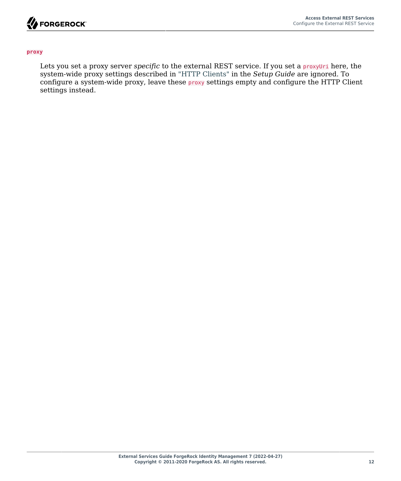

#### **proxy**

Lets you set a proxy server *specific* to the external REST service. If you set a **proxyUri** here, the system-wide proxy settings described in "HTTP Clients" in the *Setup Guide* are ignored. To configure a system-wide proxy, leave these proxy settings empty and configure the HTTP Client settings instead.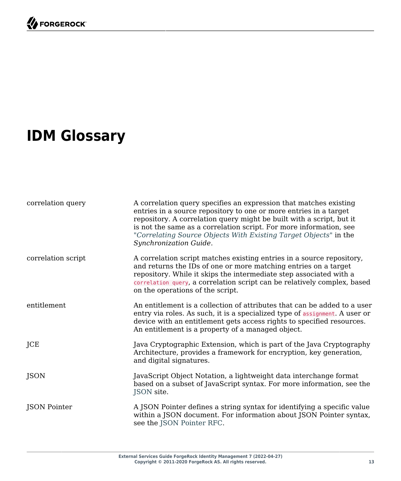# <span id="page-16-0"></span>**IDM Glossary**

| correlation query  | A correlation query specifies an expression that matches existing<br>entries in a source repository to one or more entries in a target<br>repository. A correlation query might be built with a script, but it<br>is not the same as a correlation script. For more information, see<br>"Correlating Source Objects With Existing Target Objects" in the<br>Synchronization Guide. |
|--------------------|------------------------------------------------------------------------------------------------------------------------------------------------------------------------------------------------------------------------------------------------------------------------------------------------------------------------------------------------------------------------------------|
| correlation script | A correlation script matches existing entries in a source repository,<br>and returns the IDs of one or more matching entries on a target<br>repository. While it skips the intermediate step associated with a<br>correlation query, a correlation script can be relatively complex, based<br>on the operations of the script.                                                     |
| entitlement        | An entitlement is a collection of attributes that can be added to a user<br>entry via roles. As such, it is a specialized type of assignment. A user or<br>device with an entitlement gets access rights to specified resources.<br>An entitlement is a property of a managed object.                                                                                              |
| JCE                | Java Cryptographic Extension, which is part of the Java Cryptography<br>Architecture, provides a framework for encryption, key generation,<br>and digital signatures.                                                                                                                                                                                                              |
| JSON               | JavaScript Object Notation, a lightweight data interchange format<br>based on a subset of JavaScript syntax. For more information, see the<br>JSON site.                                                                                                                                                                                                                           |
| JSON Pointer       | A JSON Pointer defines a string syntax for identifying a specific value<br>within a JSON document. For information about JSON Pointer syntax,<br>see the JSON Pointer RFC.                                                                                                                                                                                                         |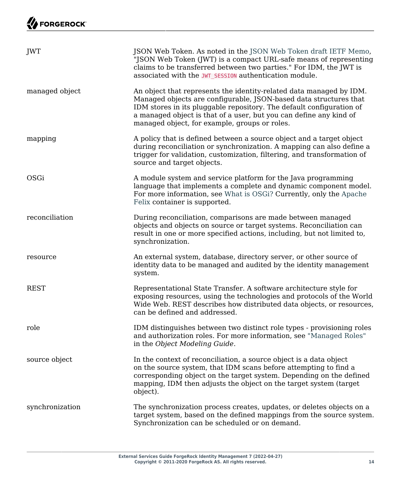| JWT             | JSON Web Token. As noted in the JSON Web Token draft IETF Memo,<br>"JSON Web Token (JWT) is a compact URL-safe means of representing<br>claims to be transferred between two parties." For IDM, the JWT is<br>associated with the JWT_SESSION authentication module.                                                                    |
|-----------------|-----------------------------------------------------------------------------------------------------------------------------------------------------------------------------------------------------------------------------------------------------------------------------------------------------------------------------------------|
| managed object  | An object that represents the identity-related data managed by IDM.<br>Managed objects are configurable, JSON-based data structures that<br>IDM stores in its pluggable repository. The default configuration of<br>a managed object is that of a user, but you can define any kind of<br>managed object, for example, groups or roles. |
| mapping         | A policy that is defined between a source object and a target object<br>during reconciliation or synchronization. A mapping can also define a<br>trigger for validation, customization, filtering, and transformation of<br>source and target objects.                                                                                  |
| OSGi            | A module system and service platform for the Java programming<br>language that implements a complete and dynamic component model.<br>For more information, see What is OSGi? Currently, only the Apache<br>Felix container is supported.                                                                                                |
| reconciliation  | During reconciliation, comparisons are made between managed<br>objects and objects on source or target systems. Reconciliation can<br>result in one or more specified actions, including, but not limited to,<br>synchronization.                                                                                                       |
| resource        | An external system, database, directory server, or other source of<br>identity data to be managed and audited by the identity management<br>system.                                                                                                                                                                                     |
| <b>REST</b>     | Representational State Transfer. A software architecture style for<br>exposing resources, using the technologies and protocols of the World<br>Wide Web. REST describes how distributed data objects, or resources,<br>can be defined and addressed.                                                                                    |
| role            | IDM distinguishes between two distinct role types - provisioning roles<br>and authorization roles. For more information, see "Managed Roles"<br>in the Object Modeling Guide.                                                                                                                                                           |
| source object   | In the context of reconciliation, a source object is a data object<br>on the source system, that IDM scans before attempting to find a<br>corresponding object on the target system. Depending on the defined<br>mapping, IDM then adjusts the object on the target system (target<br>object).                                          |
| synchronization | The synchronization process creates, updates, or deletes objects on a<br>target system, based on the defined mappings from the source system.<br>Synchronization can be scheduled or on demand.                                                                                                                                         |